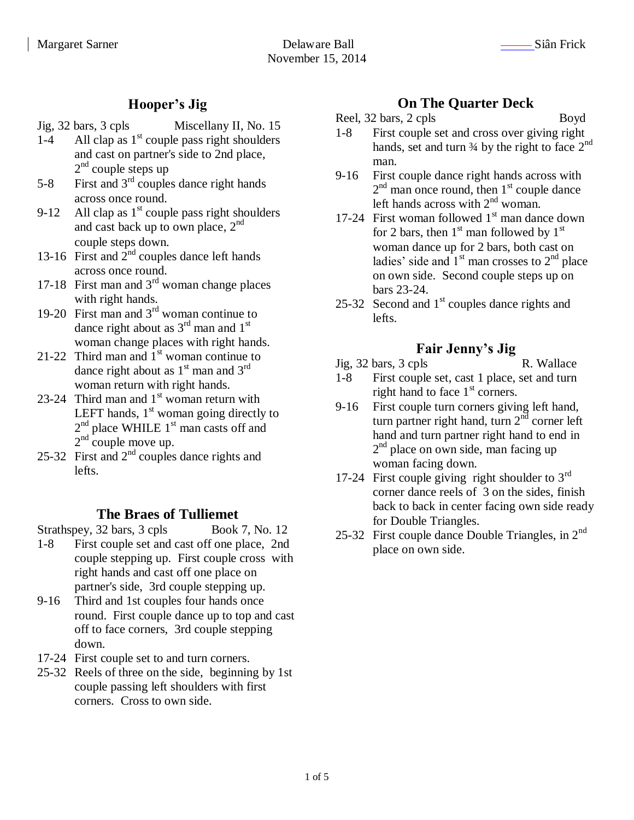# **Hooper's Jig**

- Jig, 32 bars, 3 cpls Miscellany II, No. 15
- 1-4 All clap as  $1<sup>st</sup>$  couple pass right shoulders and cast on partner's side to 2nd place,  $2<sup>nd</sup>$  couple steps up
- 5-8 First and  $3<sup>rd</sup>$  couples dance right hands across once round.
- 9-12 All clap as  $1<sup>st</sup>$  couple pass right shoulders and cast back up to own place, 2 nd couple steps down.
- 13-16 First and  $2<sup>nd</sup>$  couples dance left hands across once round.
- 17-18 First man and  $3<sup>rd</sup>$  woman change places with right hands.
- 19-20 First man and  $3<sup>rd</sup>$  woman continue to dance right about as  $3<sup>rd</sup>$  man and  $1<sup>st</sup>$ woman change places with right hands.
- 21-22 Third man and  $1<sup>st</sup>$  woman continue to dance right about as  $1<sup>st</sup>$  man and  $3<sup>rd</sup>$ woman return with right hands.
- 23-24 Third man and  $1<sup>st</sup>$  woman return with LEFT hands,  $1<sup>st</sup>$  woman going directly to  $2<sup>nd</sup>$  place WHILE  $1<sup>st</sup>$  man casts off and  $2<sup>nd</sup>$  couple move up.
- 25-32 First and 2<sup>nd</sup> couples dance rights and lefts.

### **The Braes of Tulliemet**

Strathspey, 32 bars, 3 cpls Book 7, No. 12

- 1-8 First couple set and cast off one place, 2nd couple stepping up. First couple cross with right hands and cast off one place on partner's side, 3rd couple stepping up.
- 9-16 Third and 1st couples four hands once round. First couple dance up to top and cast off to face corners, 3rd couple stepping down.
- 17-24 First couple set to and turn corners.
- 25-32 Reels of three on the side, beginning by 1st couple passing left shoulders with first corners. Cross to own side.

## **On The Quarter Deck**

- Reel, 32 bars, 2 cpls Boyd
- 1-8 First couple set and cross over giving right hands, set and turn  $\frac{3}{4}$  by the right to face  $2^{nd}$ man.
- 9-16 First couple dance right hands across with  $2<sup>nd</sup>$  man once round, then  $1<sup>st</sup>$  couple dance left hands across with  $2<sup>nd</sup>$  woman.
- 17-24 First woman followed  $1<sup>st</sup>$  man dance down for 2 bars, then  $1<sup>st</sup>$  man followed by  $1<sup>st</sup>$ woman dance up for 2 bars, both cast on ladies' side and  $1<sup>st</sup>$  man crosses to  $2<sup>nd</sup>$  place on own side. Second couple steps up on bars 23-24.
- 25-32 Second and  $1<sup>st</sup>$  couples dance rights and lefts.

# **Fair Jenny's Jig**

## Jig, 32 bars, 3 cpls R. Wallace

- 1-8 First couple set, cast 1 place, set and turn right hand to face  $1<sup>st</sup>$  corners.
- 9-16 First couple turn corners giving left hand, turn partner right hand, turn  $2<sup>nd</sup>$  corner left hand and turn partner right hand to end in 2<sup>nd</sup> place on own side, man facing up woman facing down.
- 17-24 First couple giving right shoulder to  $3<sup>rd</sup>$ corner dance reels of 3 on the sides, finish back to back in center facing own side ready for Double Triangles.
- 25-32 First couple dance Double Triangles, in  $2<sup>nd</sup>$ place on own side.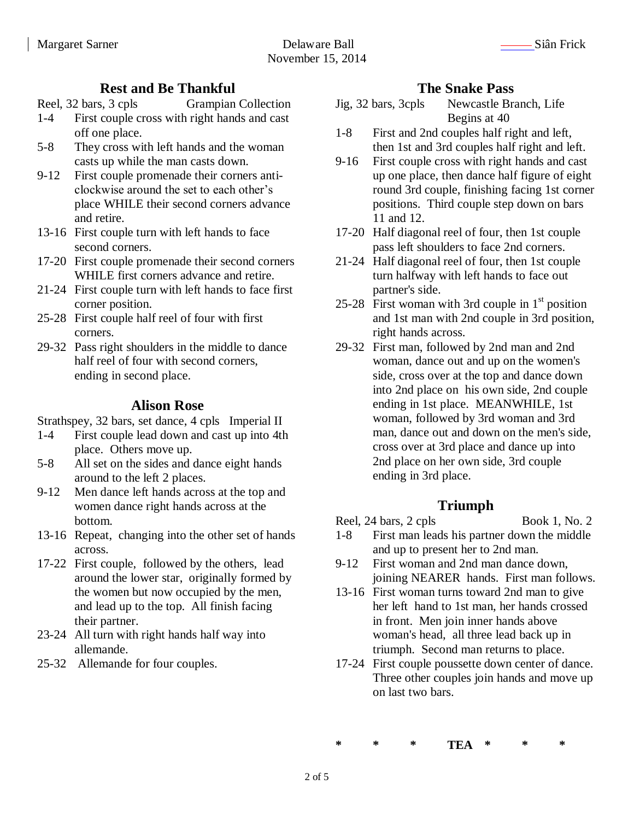#### **Rest and Be Thankful**

Reel, 32 bars, 3 cpls Grampian Collection

- 1-4 First couple cross with right hands and cast off one place.
- 5-8 They cross with left hands and the woman casts up while the man casts down.
- 9-12 First couple promenade their corners anticlockwise around the set to each other's place WHILE their second corners advance and retire.
- 13-16 First couple turn with left hands to face second corners.
- 17-20 First couple promenade their second corners WHILE first corners advance and retire.
- 21-24 First couple turn with left hands to face first corner position.
- 25-28 First couple half reel of four with first corners.
- 29-32 Pass right shoulders in the middle to dance half reel of four with second corners, ending in second place.

#### **Alison Rose**

Strathspey, 32 bars, set dance, 4 cpls Imperial II

- 1-4 First couple lead down and cast up into 4th place. Others move up.
- 5-8 All set on the sides and dance eight hands around to the left 2 places.
- 9-12 Men dance left hands across at the top and women dance right hands across at the bottom.
- 13-16 Repeat, changing into the other set of hands across.
- 17-22 First couple, followed by the others, lead around the lower star, originally formed by the women but now occupied by the men, and lead up to the top. All finish facing their partner.
- 23-24 All turn with right hands half way into allemande.
- 25-32 Allemande for four couples.

### **The Snake Pass**

- Jig, 32 bars, 3cpls Newcastle Branch, Life Begins at 40
- 1-8 First and 2nd couples half right and left, then 1st and 3rd couples half right and left.
- 9-16 First couple cross with right hands and cast up one place, then dance half figure of eight round 3rd couple, finishing facing 1st corner positions. Third couple step down on bars 11 and 12.
- 17-20 Half diagonal reel of four, then 1st couple pass left shoulders to face 2nd corners.
- 21-24 Half diagonal reel of four, then 1st couple turn halfway with left hands to face out partner's side.
- 25-28 First woman with 3rd couple in  $1<sup>st</sup>$  position and 1st man with 2nd couple in 3rd position, right hands across.
- 29-32 First man, followed by 2nd man and 2nd woman, dance out and up on the women's side, cross over at the top and dance down into 2nd place on his own side, 2nd couple ending in 1st place. MEANWHILE, 1st woman, followed by 3rd woman and 3rd man, dance out and down on the men's side, cross over at 3rd place and dance up into 2nd place on her own side, 3rd couple ending in 3rd place.

# **Triumph**

Reel,  $24 \text{ bars}$ ,  $2 \text{ cpls}$  Book 1, No. 2

- 1-8 First man leads his partner down the middle and up to present her to 2nd man.
- 9-12 First woman and 2nd man dance down, joining NEARER hands. First man follows.
- 13-16 First woman turns toward 2nd man to give her left hand to 1st man, her hands crossed in front. Men join inner hands above woman's head, all three lead back up in triumph. Second man returns to place.
- 17-24 First couple poussette down center of dance. Three other couples join hands and move up on last two bars.

**\* \* \* TEA \* \* \***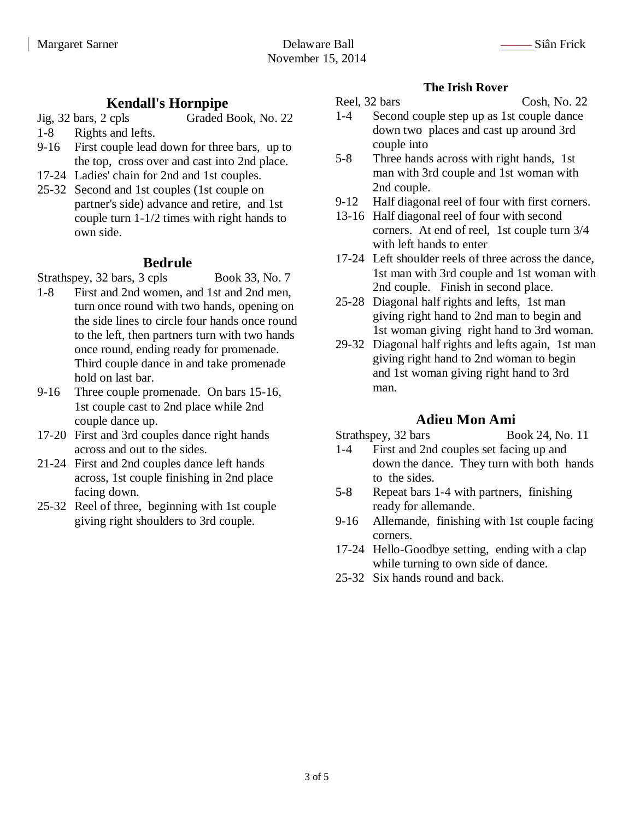## **Kendall's Hornpipe**

- Jig, 32 bars, 2 cpls Graded Book, No. 22
- 1-8 Rights and lefts.
- 9-16 First couple lead down for three bars, up to the top, cross over and cast into 2nd place.
- 17-24 Ladies' chain for 2nd and 1st couples.
- 25-32 Second and 1st couples (1st couple on partner's side) advance and retire, and 1st couple turn 1-1/2 times with right hands to own side.

### **Bedrule**

Strathspey, 32 bars, 3 cpls Book 33, No. 7

- 1-8 First and 2nd women, and 1st and 2nd men, turn once round with two hands, opening on the side lines to circle four hands once round to the left, then partners turn with two hands once round, ending ready for promenade. Third couple dance in and take promenade hold on last bar.
- 9-16 Three couple promenade. On bars 15-16, 1st couple cast to 2nd place while 2nd couple dance up.
- 17-20 First and 3rd couples dance right hands across and out to the sides.
- 21-24 First and 2nd couples dance left hands across, 1st couple finishing in 2nd place facing down.
- 25-32 Reel of three, beginning with 1st couple giving right shoulders to 3rd couple.

#### **The Irish Rover**

#### Reel, 32 bars Cosh, No. 22

- 1-4 Second couple step up as 1st couple dance down two places and cast up around 3rd couple into
- 5-8 Three hands across with right hands, 1st man with 3rd couple and 1st woman with 2nd couple.
- 9-12 Half diagonal reel of four with first corners.
- 13-16 Half diagonal reel of four with second corners. At end of reel, 1st couple turn 3/4 with left hands to enter
- 17-24 Left shoulder reels of three across the dance, 1st man with 3rd couple and 1st woman with 2nd couple. Finish in second place.
- 25-28 Diagonal half rights and lefts, 1st man giving right hand to 2nd man to begin and 1st woman giving right hand to 3rd woman.
- 29-32 Diagonal half rights and lefts again, 1st man giving right hand to 2nd woman to begin and 1st woman giving right hand to 3rd man.

### **Adieu Mon Ami**

- Strathspey, 32 bars Book 24, No. 11
- 1-4 First and 2nd couples set facing up and down the dance. They turn with both hands to the sides.
- 5-8 Repeat bars 1-4 with partners, finishing ready for allemande.
- 9-16 Allemande, finishing with 1st couple facing corners.
- 17-24 Hello-Goodbye setting, ending with a clap while turning to own side of dance.
- 25-32 Six hands round and back.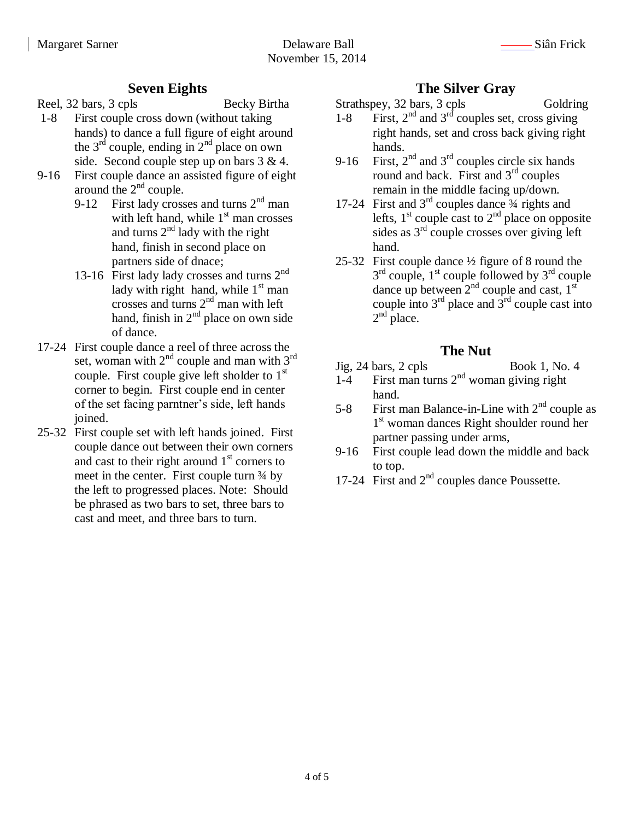## **Seven Eights**

Reel, 32 bars, 3 cpls Becky Birtha

- 1-8 First couple cross down (without taking hands) to dance a full figure of eight around the  $3<sup>rd</sup>$  couple, ending in  $2<sup>nd</sup>$  place on own side. Second couple step up on bars 3 & 4.
- 9-16 First couple dance an assisted figure of eight around the  $2<sup>nd</sup>$  couple.
	- 9-12 First lady crosses and turns  $2<sup>nd</sup>$  man with left hand, while  $1<sup>st</sup>$  man crosses and turns  $2<sup>nd</sup>$  lady with the right hand, finish in second place on partners side of dnace;
	- 13-16 First lady lady crosses and turns  $2<sup>nd</sup>$ lady with right hand, while  $1<sup>st</sup>$  man crosses and turns  $2<sup>nd</sup>$  man with left hand, finish in  $2<sup>nd</sup>$  place on own side of dance.
- 17-24 First couple dance a reel of three across the set, woman with  $2<sup>nd</sup>$  couple and man with  $3<sup>rd</sup>$ couple. First couple give left sholder to  $1<sup>st</sup>$ corner to begin. First couple end in center of the set facing parntner's side, left hands joined.
- 25-32 First couple set with left hands joined. First couple dance out between their own corners and cast to their right around  $1<sup>st</sup>$  corners to meet in the center. First couple turn  $\frac{3}{4}$  by the left to progressed places. Note: Should be phrased as two bars to set, three bars to cast and meet, and three bars to turn.

# **The Silver Gray**

Strathspey, 32 bars, 3 cpls Goldring

- 1-8 First,  $2<sup>nd</sup>$  and  $3<sup>rd</sup>$  couples set, cross giving right hands, set and cross back giving right hands.
- 9-16 First,  $2<sup>nd</sup>$  and  $3<sup>rd</sup>$  couples circle six hands round and back. First and  $3<sup>rd</sup>$  couples remain in the middle facing up/down.
- 17-24 First and  $3<sup>rd</sup>$  couples dance  $\frac{3}{4}$  rights and lefts,  $1<sup>st</sup>$  couple cast to  $2<sup>nd</sup>$  place on opposite sides as  $3<sup>rd</sup>$  couple crosses over giving left hand.
- 25-32 First couple dance ½ figure of 8 round the  $3<sup>rd</sup>$  couple,  $1<sup>st</sup>$  couple followed by  $3<sup>rd</sup>$  couple dance up between  $2<sup>nd</sup>$  couple and cast,  $1<sup>st</sup>$ couple into  $3<sup>rd</sup>$  place and  $3<sup>rd</sup>$  couple cast into  $2<sup>nd</sup>$  place.

# **The Nut**

- Jig, 24 bars, 2 cpls Book 1, No. 4
- $1-4$  First man turns  $2<sup>nd</sup>$  woman giving right hand.
- 5-8 First man Balance-in-Line with  $2<sup>nd</sup>$  couple as 1 st woman dances Right shoulder round her partner passing under arms,
- 9-16 First couple lead down the middle and back to top.
- 17-24 First and 2<sup>nd</sup> couples dance Poussette.